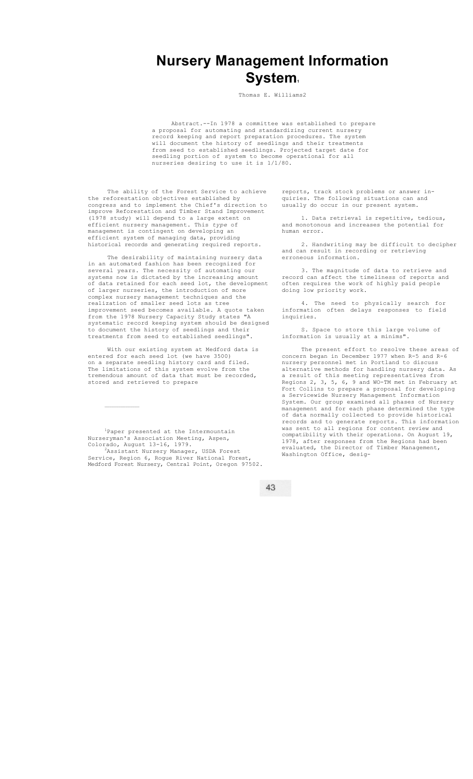## **Nursery Management Information System1**

Thomas E. Williams2

Abstract.--In 1978 a committee was established to prepare a proposal for automating and standardizing current nursery record keeping and report preparation procedures. The system will document the history of seedlings and their treatments from seed to established seedlings. Projected target date for seedling portion of system to become operational for all nurseries desiring to use it is 1/1/80.

The ability of the Forest Service to achieve the reforestation objectives established by congress and to implement the Chief's direction to improve Reforestation and Timber Stand Improvement 78 study) will depend to a large extent on efficient nursery management. This *type* of management is contingent on developing an efficient system of managing data, providing historical records and generating required reports.

The desirability of maintaining nursery data in an automated fashion has been recognized for several years. The necessity of automating our systems now is dictated by the increasing amount of data retained for each seed lot, the development of larger nurseries, the introduction of more complex nursery management techniques and the realization of smaller seed lots as tree improvement seed becomes available. A quote taken from the 1978 Nursery Capacity Study states "A systematic record keeping system should be designed to document the history of seedlings and their treatments from seed to established seedlings".

With our existing system at Medford data is entered for each seed lot (we have 3500) on a separate seedling history card and filed. The limitations of this system evolve from the tremendous amount of data that must be recorded, stored and retrieved to prepare

<sup>1</sup>Paper presented at the Intermountain Nurseryman's Association Meeting, Aspen,

 $\mathcal{L}_\text{max}$ 

Colorado, August 13-16, 1979.<br><sup>2</sup>Assistant Nursery Manager, USDA Forest Service, Region 6, Rogue River National Forest, Medford Forest Nursery, Central Point, Oregon 97502.

43

reports, track stock problems or answer inquiries. The following situations can and usually do occur in our present system.

1. Data retrieval is repetitive, tedious, and monotonous and increases the potential for human error.

2. Handwriting may be difficult to decipher and can result in recording or retrieving erroneous information.

3. The magnitude of data to retrieve and record can affect the timeliness of reports and often requires the work of highly paid people doing low priority work.

4. The need to physically search for information often delays responses to field inquiries.

S. Space to store this large volume of information is usually at a minims".

The present effort to resolve these areas of concern began in December 1977 when R-5 and R-6 nursery personnel met in Portland to discuss alternative methods for handling nursery data. As a result of this meeting representatives from Regions 2, 3, 5, 6, 9 and WO-TM met in February at Fort Collins to prepare a proposal for developing a Servicewide Nursery Management Information System. Our group examined all phases of Nursery management and for each phase determined the type of data normally collected to provide historical records and to generate reports. This information was sent to all regions for content review and compatibility with their operations. On August 19, 1978, after responses from the Regions had been evaluated, the Director of Timber Management, Washington Office, desig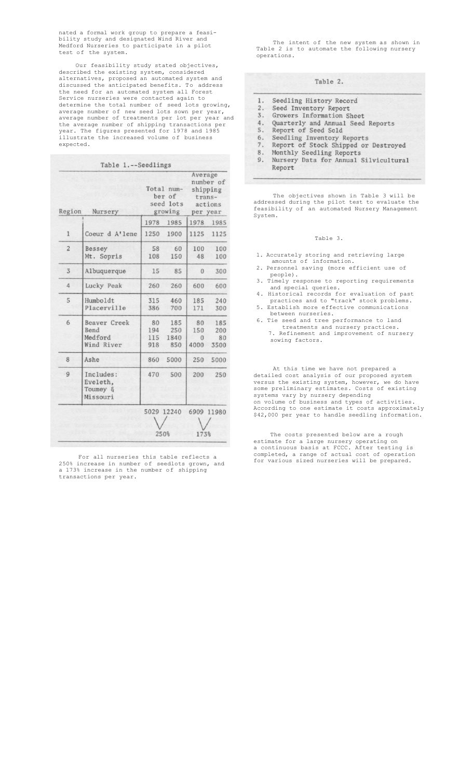nated a formal work group to prepare a feasibility study and designated Wind River and Medford Nurseries to participate in a pilot test of the system.

Our feasibility study stated objectives, described the existing system, considered alternatives, proposed an automated system and discussed the anticipated benefits. To address the need for an automated system all Forest Service nurseries were contacted again to determine the total number of seed lots growing, average number of new seed lots sown per year, average number of treatments per lot per year and the average number of shipping transactions per year. The figures presented for 1978 and 1985 illustrate the increased volume of business expected.

|                   | Table 1.--Seedlings                                  |                                              |                           |                                                                   |                          |
|-------------------|------------------------------------------------------|----------------------------------------------|---------------------------|-------------------------------------------------------------------|--------------------------|
| Region<br>Nursery |                                                      | Total num-<br>ber of<br>seed lots<br>growing |                           | Average<br>number of<br>shipping<br>trans-<br>actions<br>per year |                          |
|                   |                                                      | 1978                                         | 1985                      | 1978                                                              | 1985                     |
| $\mathbf{1}$      | Coeur d A'lene                                       | 1250                                         | 1900                      | 1125                                                              | 1125                     |
| $\overline{2}$    | Bessey<br>Mt. Sopris                                 | 58<br>108                                    | 60<br>150                 | 100<br>48                                                         | 100<br>100               |
| 3                 | Albuquerque                                          | 15                                           | 85                        | $\mathbf{0}$                                                      | 300                      |
| $\overline{4}$    | Lucky Peak                                           | 260                                          | 260                       | 600                                                               | 600                      |
| 5                 | Humboldt<br>Placerville                              | 315<br>386                                   | 460<br>700                | 185<br>171                                                        | 240<br>300               |
| 6                 | <b>Beaver Creek</b><br>Bend<br>Medford<br>Wind River | 80<br>194<br>115<br>918                      | 185<br>250<br>1840<br>850 | 80<br>150<br>$\Omega$<br>4000                                     | 185<br>200<br>80<br>3500 |
| 8                 | Ashe                                                 | 860                                          | 5000                      | 250                                                               | 5000                     |
| 9                 | Includes:<br>Eveleth,<br>Toumey &<br>Missouri        | 470                                          | 500                       | 200                                                               | 250                      |
|                   |                                                      | 5029 12240<br>250%                           |                           | 6909<br>173%                                                      | 11980                    |

For all nurseries this table reflects a 250% increase in number of seedlots grown, and a 173% increase in the number of shipping transactions per year.

The intent of the new system as shown in Table 2 is to automate the following nursery operations.

 $1\,.$  $2.$  $\overline{3}$ . 4. 5.

- Seedling Inventory Reports<br>Report of Stock Shipped or Destroyed 6.
- $7.$
- $8$  . Monthly Seedling Reports<br>Nursery Data for Annual Silvicultural
- 9. Report

The objectives shown in Table 3 will be addressed during the pilot test to evaluate the feasibility of an automated Nursery Management System.

## Table 3.

- 1. Accurately storing and retrieving large amounts of information.
- 2. Personnel saving (more efficient use of people).
- 3. Timely response to reporting requirements and special queries.
- 4. Historical records for evaluation of past practices and to "track" stock problems.
- 5. Establish more effective communications between nurseries.
- 6. Tie seed and tree performance to land treatments and nursery practices. 7. Refinement and improvement of nursery sowing factors.

At this time we have not prepared a detailed cost analysis of our proposed system versus the existing system, however, we do have some preliminary estimates. Costs of existing systems vary by nursery depending on volume of business and types of activities. According to one estimate it costs approximately \$42,000 per year to handle seedling information.

The costs presented below are a rough estimate for a large nursery operating on a continuous basis at FCCC. After testing is completed, a range of actual cost of operation for various sized nurseries will be prepared.